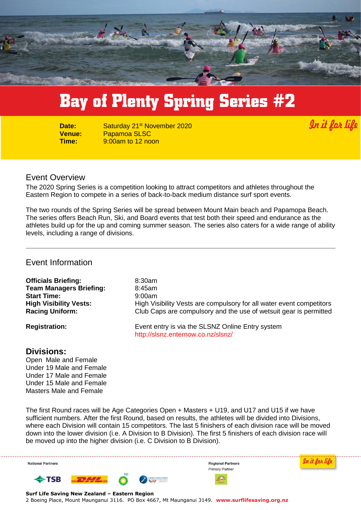

## **Bay of Plenty Spring Series #2**

**Date:** Saturday 21<sup>st</sup> November 2020 **Venue:** Papamoa SLSC **Time:** 9:00am to 12 noon

In it for life

#### Event Overview

The 2020 Spring Series is a competition looking to attract competitors and athletes throughout the Eastern Region to compete in a series of back-to-back medium distance surf sport events.

The two rounds of the Spring Series will be spread between Mount Main beach and Papamopa Beach. The series offers Beach Run, Ski, and Board events that test both their speed and endurance as the athletes build up for the up and coming summer season. The series also caters for a wide range of ability levels, including a range of divisions.

#### Event Information

**Officials Briefing:** 8:30am<br> **Team Managers Briefing:** 8:45am **Team Managers Briefing: Start Time:** 9:00am **High Visibility Vests:** High Visibility Vests are compulsory for all water event competitors **Racing Uniform:** Club Caps are compulsory and the use of wetsuit gear is permitted **Registration: Event entry is via the SLSNZ Online Entry system** <http://slsnz.enternow.co.nz/slsnz/>

#### **Divisions:**

**National Partners** 

Open Male and Female Under 19 Male and Female Under 17 Male and Female Under 15 Male and Female Masters Male and Female

The first Round races will be Age Categories Open + Masters + U19, and U17 and U15 if we have sufficient numbers. After the first Round, based on results, the athletes will be divided into Divisions, where each Division will contain 15 competitors. The last 5 finishers of each division race will be moved down into the lower division (i.e. A Division to B Division). The first 5 finishers of each division race will be moved up into the higher division (i.e. C Division to B Division).

**TSB** 



<u>In it for life</u>

**Surf Life Saving New Zealand – Eastern Region**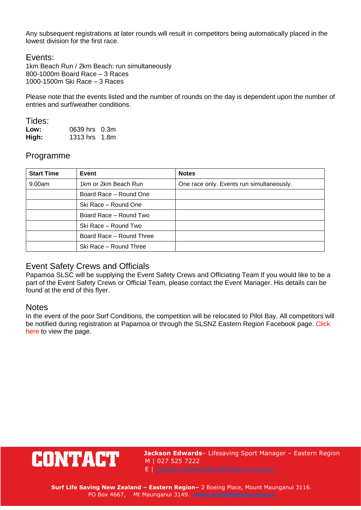Any subsequent registrations at later rounds will result in competitors being automatically placed in the lowest division for the first race.

#### Events:

1km Beach Run / 2km Beach: run simultaneously 800-1000m Board Race – 3 Races 1000-1500m Ski Race – 3 Races

Please note that the events listed and the number of rounds on the day is dependent upon the number of entries and surf/weather conditions.

| Tides: |               |  |
|--------|---------------|--|
| Low:   | 0639 hrs 0.3m |  |
| High:  | 1313 hrs 1.8m |  |

#### Programme

| <b>Start Time</b> | Event                    | <b>Notes</b>                              |
|-------------------|--------------------------|-------------------------------------------|
| 9.00am            | 1km or 2km Beach Run     | One race only. Events run simultaneously. |
|                   | Board Race - Round One   |                                           |
|                   | Ski Race - Round One     |                                           |
|                   | Board Race – Round Two   |                                           |
|                   | Ski Race - Round Two     |                                           |
|                   | Board Race - Round Three |                                           |
|                   | Ski Race - Round Three   |                                           |

#### Event Safety Crews and Officials

Papamoa SLSC will be supplying the Event Safety Crews and Officiating Team If you would like to be a part of the Event Safety Crews or Official Team, please contact the Event Manager. His details can be found at the end of this flyer.

#### **Notes**

In the event of the poor Surf Conditions, the competition will be relocated to Pilot Bay. All competitors will be notified during registration at Papamoa or through the SLSNZ Eastern Region Facebook page. Click [here](https://www.facebook.com/slsnzeasternregion) to view the page.



**Jackson Edwards** - Lifesaving Sport Manager - Eastern Region M | 027 525 7222 E | [jackson.edwards@surflifesaving.org.nz](mailto:jackson.edwards@surflifesaving.org.nz)

**Surf Life Saving New Zealand – Eastern Region–** 2 Boeing Place, Mount Maunganui 3116. PO Box 4667, Mt Maunganui 3149. **[www.surflifesaving.org.nz](file://///slsnzfp01/company/SPORT/Events/Events_EasternRegion/1.%20ER%20Pool%20Championships/Circulars/www.surflifesaving.org.nz)**